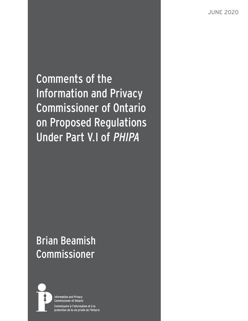JUNE 2020

Comments of the Information and Privacy Commissioner of Ontario on Proposed Regulations Under Part V.I of PHIPA

# Brian Beamish Commissioner



**Information and Privacy Commissioner of Ontario** Commissaire à l'information et à la protection de la vie privée de l'Ontario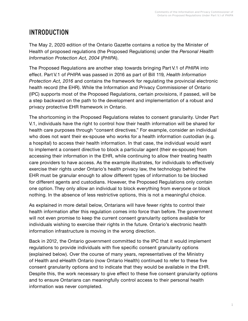## INTRODUCTION

The May 2, 2020 edition of the Ontario Gazette contains a notice by the Minister of Health of proposed regulations (the Proposed Regulations) under the *Personal Health Information Protection Act, 2004* (*PHIPA*).

The Proposed Regulations are another step towards bringing Part V.1 of *PHIPA* into effect. Part V.1 of *PHIPA* was passed in 2016 as part of Bill 119*, Health Information Protection Act, 2016* and contains the framework for regulating the provincial electronic health record (the EHR). While the Information and Privacy Commissioner of Ontario (IPC) supports most of the Proposed Regulations, certain provisions, if passed, will be a step backward on the path to the development and implementation of a robust and privacy protective EHR framework in Ontario.

The shortcoming in the Proposed Regulations relates to consent granularity. Under Part V.1, individuals have the right to control how their health information will be shared for health care purposes through "consent directives." For example, consider an individual who does not want their ex-spouse who works for a health information custodian (e.g. a hospital) to access their health information. In that case, the individual would want to implement a consent directive to block a particular agent (their ex-spouse) from accessing their information in the EHR, while continuing to allow their treating health care providers to have access. As the example illustrates, for individuals to effectively exercise their rights under Ontario's health privacy law, the technology behind the EHR must be granular enough to allow different types of information to be blocked for different agents and custodians. However, the Proposed Regulations only contain one option. They only allow an individual to block everything from everyone or block nothing. In the absence of less restrictive options, this is not a meaningful choice.

As explained in more detail below, Ontarians will have fewer rights to control their health information after this regulation comes into force than before. The government will not even promise to keep the current consent granularity options available for individuals wishing to exercise their rights in the future. Ontario's electronic health information infrastructure is moving in the wrong direction.

Back in 2012, the Ontario government committed to the IPC that it would implement regulations to provide individuals with five specific consent granularity options (explained below). Over the course of many years, representatives of the Ministry of Health and eHealth Ontario (now Ontario Health) continued to refer to these five consent granularity options and to indicate that they would be available in the EHR. Despite this, the work necessary to give effect to these five consent granularity options and to ensure Ontarians can meaningfully control access to their personal health information was never completed.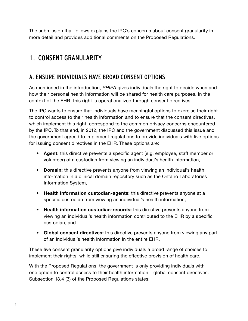The submission that follows explains the IPC's concerns about consent granularity in more detail and provides additional comments on the Proposed Regulations.

## 1. CONSENT GRANULARITY

### A. ENSURE INDIVIDUALS HAVE BROAD CONSENT OPTIONS

As mentioned in the introduction, *PHIPA* gives individuals the right to decide when and how their personal health information will be shared for health care purposes. In the context of the EHR, this right is operationalized through consent directives.

The IPC wants to ensure that individuals have meaningful options to exercise their right to control access to their health information and to ensure that the consent directives, which implement this right, correspond to the common privacy concerns encountered by the IPC. To that end, in 2012, the IPC and the government discussed this issue and the government agreed to implement regulations to provide individuals with five options for issuing consent directives in the EHR. These options are:

- **• Agent:** this directive prevents a specific agent (e.g. employee, staff member or volunteer) of a custodian from viewing an individual's health information,
- **• Domain:** this directive prevents anyone from viewing an individual's health information in a clinical domain repository such as the Ontario Laboratories Information System,
- **• Health information custodian-agents:** this directive prevents anyone at a specific custodian from viewing an individual's health information,
- **• Health information custodian-records:** this directive prevents anyone from viewing an individual's health information contributed to the EHR by a specific custodian, and
- **• Global consent directives:** this directive prevents anyone from viewing any part of an individual's health information in the entire EHR.

These five consent granularity options give individuals a broad range of choices to implement their rights, while still ensuring the effective provision of health care.

With the Proposed Regulations, the government is only providing individuals with one option to control access to their health information – global consent directives. Subsection 18.4 (3) of the Proposed Regulations states: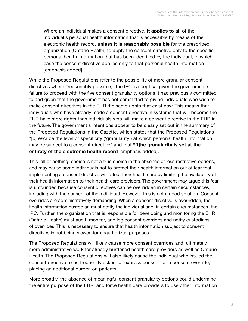Where an individual makes a consent directive, **it applies to all** of the individual's personal health information that is accessible by means of the electronic health record, **unless it is reasonably possible** for the prescribed organization [Ontario Health] to apply the consent directive only to the specific personal health information that has been identified by the individual, in which case the consent directive applies only to that personal health information [emphasis added].

While the Proposed Regulations refer to the possibility of more granular consent directives where "reasonably possible," the IPC is sceptical given the government's failure to proceed with the five consent granularity options it had previously committed to and given that the government has not committed to giving individuals who wish to make consent directives in the EHR the same rights that exist now. This means that individuals who have already made a consent directive in systems that will become the EHR have more rights than individuals who will make a consent directive in the EHR in the future. The government's intentions appear to be clearly set out in the summary of the Proposed Regulations in the Gazette, which states that the Proposed Regulations "[p]rescribe the level of specificity ('granularity') at which personal health information may be subject to a consent directive" and that **"[t]he granularity is set at the entirety of the electronic health record** [emphasis added]."

This 'all or nothing' choice is not a true choice in the absence of less restrictive options, and may cause some individuals not to protect their health information out of fear that implementing a consent directive will affect their health care by limiting the availability of their health information to their health care providers. The government may argue this fear is unfounded because consent directives can be overridden in certain circumstances, including with the consent of the individual. However, this is not a good solution. Consent overrides are administratively demanding. When a consent directive is overridden, the health information custodian must notify the individual and, in certain circumstances, the IPC. Further, the organization that is responsible for developing and monitoring the EHR (Ontario Health) must audit, monitor, and log consent overrides and notify custodians of overrides. This is necessary to ensure that health information subject to consent directives is not being viewed for unauthorized purposes.

The Proposed Regulations will likely cause more consent overrides and, ultimately more administrative work for already burdened health care providers as well as Ontario Health. The Proposed Regulations will also likely cause the individual who issued the consent directive to be frequently asked for express consent for a consent override, placing an additional burden on patients.

More broadly, the absence of meaningful consent granularity options could undermine the entire purpose of the EHR, and force health care providers to use other information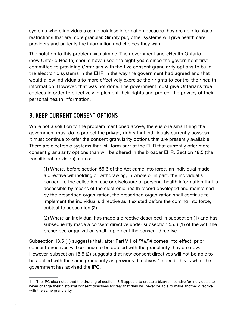systems where individuals can block less information because they are able to place restrictions that are more granular. Simply put, other systems will give health care providers and patients the information and choices they want.

The solution to this problem was simple. The government and eHealth Ontario (now Ontario Health) should have used the eight years since the government first committed to providing Ontarians with the five consent granularity options to build the electronic systems in the EHR in the way the government had agreed and that would allow individuals to more effectively exercise their rights to control their health information. However, that was not done. The government must give Ontarians true choices in order to effectively implement their rights and protect the privacy of their personal health information.

### B. KEEP CURRENT CONSENT OPTIONS

While not a solution to the problem mentioned above, there is one small thing the government must do to protect the privacy rights that individuals currently possess. It must continue to offer the consent granularity options that are presently available. There are electronic systems that will form part of the EHR that currently offer more consent granularity options than will be offered in the broader EHR. Section 18.5 (the transitional provision) states:

(1) Where, before section 55.6 of the Act came into force, an individual made a directive withholding or withdrawing, in whole or in part, the individual's consent to the collection, use or disclosure of personal health information that is accessible by means of the electronic health record developed and maintained by the prescribed organization, the prescribed organization shall continue to implement the individual's directive as it existed before the coming into force, subject to subsection (2).

(2) Where an individual has made a directive described in subsection (1) and has subsequently made a consent directive under subsection 55.6 (1) of the Act, the prescribed organization shall implement the consent directive.

Subsection 18.5 (1) suggests that, after Part V.1 of *PHIPA* comes into effect, prior consent directives will continue to be applied with the granularity they are now. However, subsection 18.5 (2) suggests that new consent directives will not be able to be applied with the same granularity as previous directives.<sup>1</sup> Indeed, this is what the government has advised the IPC.

<sup>1</sup> The IPC also notes that the drafting of section 18.5 appears to create a bizarre incentive for individuals to never change their historical consent directives for fear that they will never be able to make another directive with the same granularity.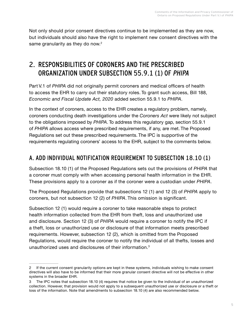Not only should prior consent directives continue to be implemented as they are now, but individuals should also have the right to implement new consent directives with the same granularity as they do now. $2^2$ 

## 2. RESPONSIBILITIES OF CORONERS AND THE PRESCRIBED ORGANIZATION UNDER SUBSECTION 55.9.1 (1) OF PHIPA

Part V.1 of *PHIPA* did not originally permit coroners and medical officers of health to access the EHR to carry out their statutory roles. To grant such access, Bill 188, *Economic and Fiscal Update Act, 2020* added section 55.9.1 to *PHIPA*.

In the context of coroners, access to the EHR creates a regulatory problem, namely, coroners conducting death investigations under the *Coroners Act* were likely not subject to the obligations imposed by *PHIPA*. To address this regulatory gap, section 55.9.1 of *PHIPA* allows access where prescribed requirements, if any, are met. The Proposed Regulations set out these prescribed requirements. The IPC is supportive of the requirements regulating coroners' access to the EHR, subject to the comments below.

### A. ADD INDIVIDUAL NOTIFICATION REQUIREMENT TO SUBSECTION 18.10 (1)

Subsection 18.10 (1) of the Proposed Regulations sets out the provisions of *PHIPA* that a coroner must comply with when accessing personal health information in the EHR. These provisions apply to a coroner as if the coroner were a custodian under *PHIPA*.

The Proposed Regulations provide that subsections 12 (1) and 12 (3) of *PHIPA* apply to coroners, but not subsection 12 (2) of *PHIPA*. This omission is significant.

Subsection 12 (1) would require a coroner to take reasonable steps to protect health information collected from the EHR from theft, loss and unauthorized use and disclosure. Section 12 (3) of *PHIPA* would require a coroner to notify the IPC if a theft, loss or unauthorized use or disclosure of that information meets prescribed requirements. However, subsection 12 (2), which is omitted from the Proposed Regulations, would require the coroner to notify the individual of all thefts, losses and unauthorized uses and disclosures of their information.<sup>3</sup>

<sup>2</sup> If the current consent granularity options are kept in these systems, individuals wishing to make consent directives will also have to be informed that their more granular consent directive will not be effective in other systems in the broader EHR.

<sup>3</sup> The IPC notes that subsection 18.10 (4) requires that notice be given to the individual of an unauthorized collection. However, that provision would not apply to a subsequent unauthorized use or disclosure or a theft or loss of the information. Note that amendments to subsection 18.10 (4) are also recommended below.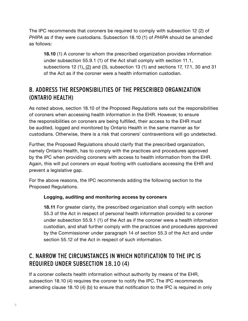The IPC recommends that coroners be required to comply with subsection 12 (2) of *PHIPA* as if they were custodians. Subsection 18.10 (1) of *PHIPA* should be amended as follows:

**18.10** (1) A coroner to whom the prescribed organization provides information under subsection 55.9.1 (1) of the Act shall comply with section 11.1, subsections 12 (1), (2) and (3), subsection 13 (1) and sections 17, 17.1, 30 and 31 of the Act as if the coroner were a health information custodian.

### B. ADDRESS THE RESPONSIBILITIES OF THE PRESCRIBED ORGANIZATION (ONTARIO HEALTH)

As noted above, section 18.10 of the Proposed Regulations sets out the responsibilities of coroners when accessing health information in the EHR. However, to ensure the responsibilities on coroners are being fulfilled, their access to the EHR must be audited, logged and monitored by Ontario Health in the same manner as for custodians. Otherwise, there is a risk that coroners' contraventions will go undetected.

Further, the Proposed Regulations should clarify that the prescribed organization, namely Ontario Health, has to comply with the practices and procedures approved by the IPC when providing coroners with access to health information from the EHR. Again, this will put coroners on equal footing with custodians accessing the EHR and prevent a legislative gap.

For the above reasons, the IPC recommends adding the following section to the Proposed Regulations.

#### **Logging, auditing and monitoring access by coroners**

**18.11** For greater clarity, the prescribed organization shall comply with section 55.3 of the Act in respect of personal health information provided to a coroner under subsection 55.9.1 (1) of the Act as if the coroner were a health information custodian, and shall further comply with the practices and procedures approved by the Commissioner under paragraph 14 of section 55.3 of the Act and under section 55.12 of the Act in respect of such information.

### C. NARROW THE CIRCUMSTANCES IN WHICH NOTIFICATION TO THE IPC IS REQUIRED UNDER SUBSECTION 18.10 (4)

If a coroner collects health information without authority by means of the EHR, subsection 18.10 (4) requires the coroner to notify the IPC. The IPC recommends amending clause 18.10 (4) (b) to ensure that notification to the IPC is required in only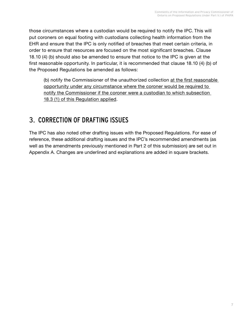those circumstances where a custodian would be required to notify the IPC. This will put coroners on equal footing with custodians collecting health information from the EHR and ensure that the IPC is only notified of breaches that meet certain criteria, in order to ensure that resources are focused on the most significant breaches. Clause 18.10 (4) (b) should also be amended to ensure that notice to the IPC is given at the first reasonable opportunity. In particular, it is recommended that clause 18.10 (4) (b) of the Proposed Regulations be amended as follows:

(b) notify the Commissioner of the unauthorized collection at the first reasonable opportunity under any circumstance where the coroner would be required to notify the Commissioner if the coroner were a custodian to which subsection 18.3 (1) of this Regulation applied.

## 3. CORRECTION OF DRAFTING ISSUES

The IPC has also noted other drafting issues with the Proposed Regulations. For ease of reference, these additional drafting issues and the IPC's recommended amendments (as well as the amendments previously mentioned in Part 2 of this submission) are set out in Appendix A. Changes are underlined and explanations are added in square brackets.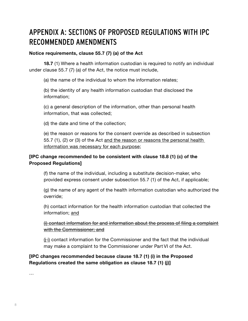## APPENDIX A: SECTIONS OF PROPOSED REGULATIONS WITH IPC RECOMMENDED AMENDMENTS

#### **Notice requirements, clause 55.7 (7) (a) of the Act**

**18.7** (1) Where a health information custodian is required to notify an individual under clause 55.7 (7) (a) of the Act, the notice must include,

(a) the name of the individual to whom the information relates;

(b) the identity of any health information custodian that disclosed the information;

(c) a general description of the information, other than personal health information, that was collected;

(d) the date and time of the collection;

(e) the reason or reasons for the consent override as described in subsection 55.7 (1), (2) or (3) of the Act and the reason or reasons the personal health information was necessary for each purpose;

#### **[IPC change recommended to be consistent with clause 18.8 (1) (c) of the Proposed Regulations]**

(f) the name of the individual, including a substitute decision-maker, who provided express consent under subsection 55.7 (1) of the Act, if applicable;

(g) the name of any agent of the health information custodian who authorized the override;

(h) contact information for the health information custodian that collected the information; and

#### (i) contact information for and information about the process of filing a complaint with the Commissioner; and

 $(i)$  contact information for the Commissioner and the fact that the individual may make a complaint to the Commissioner under Part VI of the Act.

**[IPC changes recommended because clause 18.7 (1) (i) in the Proposed Regulations created the same obligation as clause 18.7 (1) (j)]**

…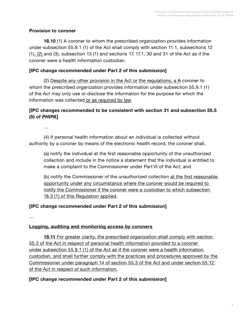#### **Provision to coroner**

**18.10** (1) A coroner to whom the prescribed organization provides information under subsection 55.9.1 (1) of the Act shall comply with section 11.1, subsections 12 (1), (2) and (3), subsection 13 (1) and sections 17, 17.1, 30 and 31 of the Act as if the coroner were a health information custodian.

### **[IPC change recommended under Part 2 of this submission]**

 (2) Despite any other provision in the Act or the regulations, a A coroner to whom the prescribed organization provides information under subsection 55.9.1 (1) of the Act may only use or disclose the information for the purpose for which the information was collected or as required by law.

### **[IPC changes recommended to be consistent with section 31 and subsection 55.5 (5) of** *PHIPA***]**

…

 (4) If personal health information about an individual is collected without authority by a coroner by means of the electronic health record, the coroner shall,

(a) notify the individual at the first reasonable opportunity of the unauthorized collection and include in the notice a statement that the individual is entitled to make a complaint to the Commissioner under Part VI of the Act; and

(b) notify the Commissioner of the unauthorized collection at the first reasonable opportunity under any circumstance where the coroner would be required to notify the Commissioner if the coroner were a custodian to which subsection 18.3 (1) of this Regulation applied.

### **[IPC change recommended under Part 2 of this submission]**

…

### **Logging, auditing and monitoring access by coroners**

 **18.11** For greater clarity, the prescribed organization shall comply with section 55.3 of the Act in respect of personal health information provided to a coroner under subsection 55.9.1 (1) of the Act as if the coroner were a health information custodian, and shall further comply with the practices and procedures approved by the Commissioner under paragraph 14 of section 55.3 of the Act and under section 55.12 of the Act in respect of such information.

### **[IPC change recommended under Part 2 of this submission]**